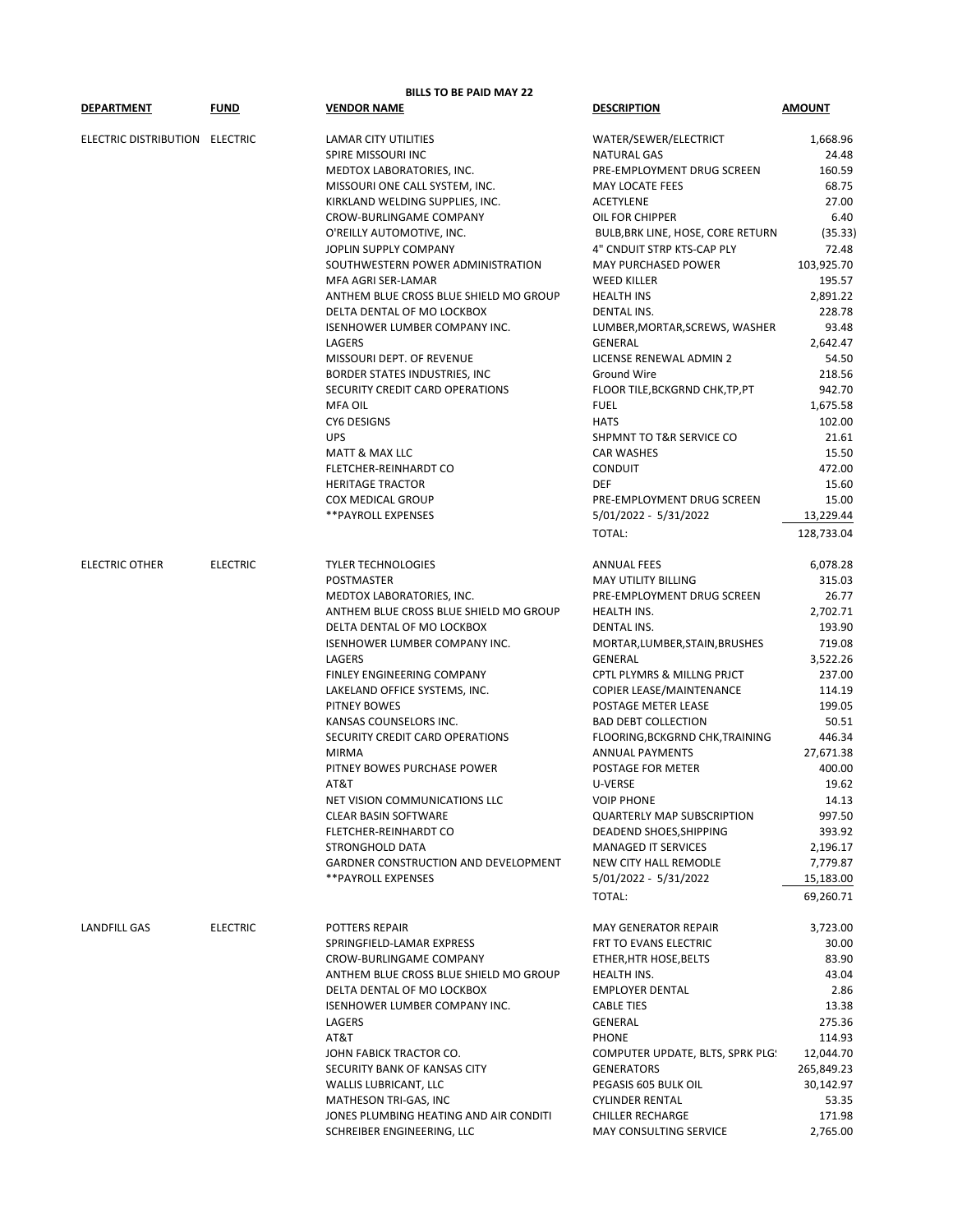|                                |                 | <b>BILLS TO BE PAID MAY 22</b>         |                                     |               |
|--------------------------------|-----------------|----------------------------------------|-------------------------------------|---------------|
| <b>DEPARTMENT</b>              | <b>FUND</b>     | <b>VENDOR NAME</b>                     | <b>DESCRIPTION</b>                  | <b>AMOUNT</b> |
| ELECTRIC DISTRIBUTION ELECTRIC |                 | LAMAR CITY UTILITIES                   | WATER/SEWER/ELECTRICT               | 1,668.96      |
|                                |                 | SPIRE MISSOURI INC                     | <b>NATURAL GAS</b>                  | 24.48         |
|                                |                 | MEDTOX LABORATORIES, INC.              | PRE-EMPLOYMENT DRUG SCREEN          | 160.59        |
|                                |                 | MISSOURI ONE CALL SYSTEM, INC.         | MAY LOCATE FEES                     | 68.75         |
|                                |                 | KIRKLAND WELDING SUPPLIES, INC.        | <b>ACETYLENE</b>                    | 27.00         |
|                                |                 | <b>CROW-BURLINGAME COMPANY</b>         | OIL FOR CHIPPER                     | 6.40          |
|                                |                 | O'REILLY AUTOMOTIVE, INC.              | BULB, BRK LINE, HOSE, CORE RETURN   | (35.33)       |
|                                |                 | JOPLIN SUPPLY COMPANY                  | 4" CNDUIT STRP KTS-CAP PLY          | 72.48         |
|                                |                 | SOUTHWESTERN POWER ADMINISTRATION      | MAY PURCHASED POWER                 | 103,925.70    |
|                                |                 | MFA AGRI SER-LAMAR                     | <b>WEED KILLER</b>                  | 195.57        |
|                                |                 | ANTHEM BLUE CROSS BLUE SHIELD MO GROUP | <b>HEALTH INS</b>                   | 2,891.22      |
|                                |                 | DELTA DENTAL OF MO LOCKBOX             | <b>DENTAL INS.</b>                  | 228.78        |
|                                |                 | <b>ISENHOWER LUMBER COMPANY INC.</b>   | LUMBER, MORTAR, SCREWS, WASHER      | 93.48         |
|                                |                 | LAGERS                                 | <b>GENERAL</b>                      |               |
|                                |                 |                                        |                                     | 2,642.47      |
|                                |                 | MISSOURI DEPT. OF REVENUE              | LICENSE RENEWAL ADMIN 2             | 54.50         |
|                                |                 | BORDER STATES INDUSTRIES, INC          | <b>Ground Wire</b>                  | 218.56        |
|                                |                 | SECURITY CREDIT CARD OPERATIONS        | FLOOR TILE, BCKGRND CHK, TP, PT     | 942.70        |
|                                |                 | <b>MFA OIL</b>                         | <b>FUEL</b>                         | 1,675.58      |
|                                |                 | <b>CY6 DESIGNS</b>                     | <b>HATS</b>                         | 102.00        |
|                                |                 | <b>UPS</b>                             | <b>SHPMNT TO T&amp;R SERVICE CO</b> | 21.61         |
|                                |                 | <b>MATT &amp; MAX LLC</b>              | <b>CAR WASHES</b>                   | 15.50         |
|                                |                 | FLETCHER-REINHARDT CO                  | <b>CONDUIT</b>                      | 472.00        |
|                                |                 | <b>HERITAGE TRACTOR</b>                | <b>DEF</b>                          | 15.60         |
|                                |                 | <b>COX MEDICAL GROUP</b>               | PRE-EMPLOYMENT DRUG SCREEN          | 15.00         |
|                                |                 | <b>**PAYROLL EXPENSES</b>              | 5/01/2022 - 5/31/2022               | 13,229.44     |
|                                |                 |                                        | TOTAL:                              | 128,733.04    |
| <b>ELECTRIC OTHER</b>          | <b>ELECTRIC</b> | <b>TYLER TECHNOLOGIES</b>              | <b>ANNUAL FEES</b>                  | 6,078.28      |
|                                |                 | POSTMASTER                             | MAY UTILITY BILLING                 | 315.03        |
|                                |                 | MEDTOX LABORATORIES, INC.              | PRE-EMPLOYMENT DRUG SCREEN          | 26.77         |
|                                |                 | ANTHEM BLUE CROSS BLUE SHIELD MO GROUP | HEALTH INS.                         | 2,702.71      |
|                                |                 | DELTA DENTAL OF MO LOCKBOX             | <b>DENTAL INS.</b>                  | 193.90        |
|                                |                 | ISENHOWER LUMBER COMPANY INC.          | MORTAR, LUMBER, STAIN, BRUSHES      | 719.08        |
|                                |                 | LAGERS                                 | GENERAL                             | 3,522.26      |
|                                |                 | FINLEY ENGINEERING COMPANY             | CPTL PLYMRS & MILLNG PRJCT          | 237.00        |
|                                |                 | LAKELAND OFFICE SYSTEMS, INC.          | COPIER LEASE/MAINTENANCE            | 114.19        |
|                                |                 | PITNEY BOWES                           | POSTAGE METER LEASE                 | 199.05        |
|                                |                 | KANSAS COUNSELORS INC.                 | <b>BAD DEBT COLLECTION</b>          | 50.51         |
|                                |                 | SECURITY CREDIT CARD OPERATIONS        | FLOORING, BCKGRND CHK, TRAINING     | 446.34        |
|                                |                 | <b>MIRMA</b>                           |                                     | 27,671.38     |
|                                |                 |                                        | ANNUAL PAYMENTS                     | 400.00        |
|                                |                 | PITNEY BOWES PURCHASE POWER            | POSTAGE FOR METER                   |               |
|                                |                 | AT&T                                   | U-VERSE                             | 19.62         |
|                                |                 | NET VISION COMMUNICATIONS LLC          | <b>VOIP PHONE</b>                   | 14.13         |
|                                |                 | <b>CLEAR BASIN SOFTWARE</b>            | <b>QUARTERLY MAP SUBSCRIPTION</b>   | 997.50        |
|                                |                 | FLETCHER-REINHARDT CO                  | DEADEND SHOES, SHIPPING             | 393.92        |
|                                |                 | STRONGHOLD DATA                        | <b>MANAGED IT SERVICES</b>          | 2,196.17      |
|                                |                 | GARDNER CONSTRUCTION AND DEVELOPMENT   | NEW CITY HALL REMODLE               | 7,779.87      |
|                                |                 | ** PAYROLL EXPENSES                    | 5/01/2022 - 5/31/2022               | 15,183.00     |
|                                |                 |                                        | TOTAL:                              | 69,260.71     |
| <b>LANDFILL GAS</b>            | <b>ELECTRIC</b> | POTTERS REPAIR                         | <b>MAY GENERATOR REPAIR</b>         | 3,723.00      |
|                                |                 | SPRINGFIELD-LAMAR EXPRESS              | FRT TO EVANS ELECTRIC               | 30.00         |
|                                |                 | CROW-BURLINGAME COMPANY                | ETHER, HTR HOSE, BELTS              | 83.90         |
|                                |                 | ANTHEM BLUE CROSS BLUE SHIELD MO GROUP | HEALTH INS.                         | 43.04         |
|                                |                 | DELTA DENTAL OF MO LOCKBOX             | <b>EMPLOYER DENTAL</b>              | 2.86          |
|                                |                 | <b>ISENHOWER LUMBER COMPANY INC.</b>   | <b>CABLE TIES</b>                   | 13.38         |
|                                |                 | LAGERS                                 | <b>GENERAL</b>                      | 275.36        |
|                                |                 | AT&T                                   | <b>PHONE</b>                        | 114.93        |
|                                |                 | JOHN FABICK TRACTOR CO.                | COMPUTER UPDATE, BLTS, SPRK PLG.    | 12,044.70     |
|                                |                 | SECURITY BANK OF KANSAS CITY           | <b>GENERATORS</b>                   | 265,849.23    |
|                                |                 | <b>WALLIS LUBRICANT, LLC</b>           | PEGASIS 605 BULK OIL                | 30,142.97     |
|                                |                 | MATHESON TRI-GAS, INC                  | <b>CYLINDER RENTAL</b>              | 53.35         |
|                                |                 | JONES PLUMBING HEATING AND AIR CONDITI | <b>CHILLER RECHARGE</b>             | 171.98        |
|                                |                 | SCHREIBER ENGINEERING, LLC             | MAY CONSULTING SERVICE              | 2,765.00      |
|                                |                 |                                        |                                     |               |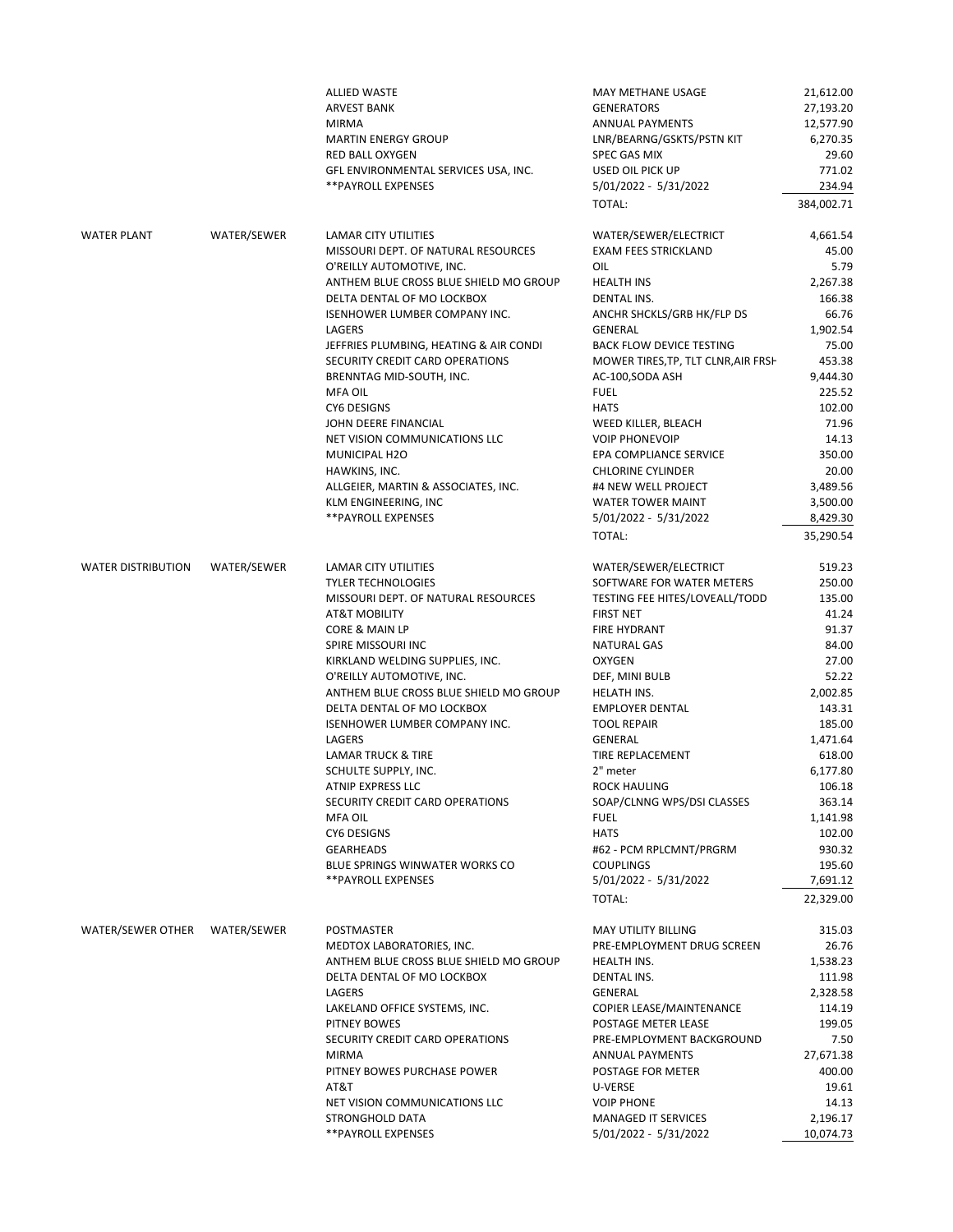|                               |             | <b>ALLIED WASTE</b>                    | MAY METHANE USAGE                   | 21,612.00  |
|-------------------------------|-------------|----------------------------------------|-------------------------------------|------------|
|                               |             | <b>ARVEST BANK</b>                     | <b>GENERATORS</b>                   | 27,193.20  |
|                               |             | <b>MIRMA</b>                           | <b>ANNUAL PAYMENTS</b>              | 12,577.90  |
|                               |             | <b>MARTIN ENERGY GROUP</b>             | LNR/BEARNG/GSKTS/PSTN KIT           | 6,270.35   |
|                               |             | <b>RED BALL OXYGEN</b>                 | <b>SPEC GAS MIX</b>                 | 29.60      |
|                               |             | GFL ENVIRONMENTAL SERVICES USA, INC.   | USED OIL PICK UP                    | 771.02     |
|                               |             | ** PAYROLL EXPENSES                    | 5/01/2022 - 5/31/2022               | 234.94     |
|                               |             |                                        | TOTAL:                              | 384,002.71 |
|                               |             |                                        |                                     |            |
| <b>WATER PLANT</b>            | WATER/SEWER | <b>LAMAR CITY UTILITIES</b>            | WATER/SEWER/ELECTRICT               | 4,661.54   |
|                               |             | MISSOURI DEPT. OF NATURAL RESOURCES    | <b>EXAM FEES STRICKLAND</b>         | 45.00      |
|                               |             | O'REILLY AUTOMOTIVE, INC.              | OIL                                 | 5.79       |
|                               |             | ANTHEM BLUE CROSS BLUE SHIELD MO GROUP | <b>HEALTH INS</b>                   | 2,267.38   |
|                               |             | DELTA DENTAL OF MO LOCKBOX             | <b>DENTAL INS.</b>                  | 166.38     |
|                               |             | ISENHOWER LUMBER COMPANY INC.          | ANCHR SHCKLS/GRB HK/FLP DS          | 66.76      |
|                               |             | LAGERS                                 | <b>GENERAL</b>                      | 1,902.54   |
|                               |             | JEFFRIES PLUMBING, HEATING & AIR CONDI | <b>BACK FLOW DEVICE TESTING</b>     | 75.00      |
|                               |             | SECURITY CREDIT CARD OPERATIONS        | MOWER TIRES, TP, TLT CLNR, AIR FRSH | 453.38     |
|                               |             | BRENNTAG MID-SOUTH, INC.               | AC-100, SODA ASH                    | 9,444.30   |
|                               |             | <b>MFA OIL</b>                         | <b>FUEL</b>                         | 225.52     |
|                               |             | <b>CY6 DESIGNS</b>                     | <b>HATS</b>                         | 102.00     |
|                               |             | JOHN DEERE FINANCIAL                   | WEED KILLER, BLEACH                 | 71.96      |
|                               |             | NET VISION COMMUNICATIONS LLC          | <b>VOIP PHONEVOIP</b>               | 14.13      |
|                               |             | MUNICIPAL H2O                          | EPA COMPLIANCE SERVICE              | 350.00     |
|                               |             | HAWKINS, INC.                          | <b>CHLORINE CYLINDER</b>            | 20.00      |
|                               |             | ALLGEIER, MARTIN & ASSOCIATES, INC.    | #4 NEW WELL PROJECT                 | 3,489.56   |
|                               |             | KLM ENGINEERING, INC                   | WATER TOWER MAINT                   | 3,500.00   |
|                               |             | ** PAYROLL EXPENSES                    | 5/01/2022 - 5/31/2022               | 8,429.30   |
|                               |             |                                        |                                     |            |
|                               |             |                                        | TOTAL:                              | 35,290.54  |
| <b>WATER DISTRIBUTION</b>     | WATER/SEWER | LAMAR CITY UTILITIES                   | WATER/SEWER/ELECTRICT               | 519.23     |
|                               |             | <b>TYLER TECHNOLOGIES</b>              | SOFTWARE FOR WATER METERS           | 250.00     |
|                               |             | MISSOURI DEPT. OF NATURAL RESOURCES    | TESTING FEE HITES/LOVEALL/TODD      | 135.00     |
|                               |             | <b>AT&amp;T MOBILITY</b>               | <b>FIRST NET</b>                    | 41.24      |
|                               |             | CORE & MAIN LP                         |                                     | 91.37      |
|                               |             |                                        | FIRE HYDRANT                        |            |
|                               |             | SPIRE MISSOURI INC                     | <b>NATURAL GAS</b>                  | 84.00      |
|                               |             | KIRKLAND WELDING SUPPLIES, INC.        | <b>OXYGEN</b>                       | 27.00      |
|                               |             | O'REILLY AUTOMOTIVE, INC.              | DEF, MINI BULB                      | 52.22      |
|                               |             | ANTHEM BLUE CROSS BLUE SHIELD MO GROUP | HELATH INS.                         | 2,002.85   |
|                               |             | DELTA DENTAL OF MO LOCKBOX             | <b>EMPLOYER DENTAL</b>              | 143.31     |
|                               |             | ISENHOWER LUMBER COMPANY INC.          | <b>TOOL REPAIR</b>                  | 185.00     |
|                               |             | LAGERS                                 | GENERAL                             | 1,471.64   |
|                               |             | <b>LAMAR TRUCK &amp; TIRE</b>          | TIRE REPLACEMENT                    | 618.00     |
|                               |             | SCHULTE SUPPLY, INC.                   | 2" meter                            | 6,177.80   |
|                               |             | ATNIP EXPRESS LLC                      | <b>ROCK HAULING</b>                 | 106.18     |
|                               |             | SECURITY CREDIT CARD OPERATIONS        | SOAP/CLNNG WPS/DSI CLASSES          | 363.14     |
|                               |             | <b>MFA OIL</b>                         | <b>FUEL</b>                         | 1,141.98   |
|                               |             | CY6 DESIGNS                            | <b>HATS</b>                         | 102.00     |
|                               |             | <b>GEARHEADS</b>                       | #62 - PCM RPLCMNT/PRGRM             | 930.32     |
|                               |             | BLUE SPRINGS WINWATER WORKS CO         | <b>COUPLINGS</b>                    | 195.60     |
|                               |             | **PAYROLL EXPENSES                     | 5/01/2022 - 5/31/2022               | 7,691.12   |
|                               |             |                                        | TOTAL:                              | 22,329.00  |
|                               |             |                                        |                                     |            |
| WATER/SEWER OTHER WATER/SEWER |             | <b>POSTMASTER</b>                      | MAY UTILITY BILLING                 | 315.03     |
|                               |             | MEDTOX LABORATORIES, INC.              | PRE-EMPLOYMENT DRUG SCREEN          | 26.76      |
|                               |             | ANTHEM BLUE CROSS BLUE SHIELD MO GROUP | <b>HEALTH INS.</b>                  | 1,538.23   |
|                               |             | DELTA DENTAL OF MO LOCKBOX             | <b>DENTAL INS.</b>                  | 111.98     |
|                               |             | LAGERS                                 | <b>GENERAL</b>                      | 2,328.58   |
|                               |             | LAKELAND OFFICE SYSTEMS, INC.          | COPIER LEASE/MAINTENANCE            | 114.19     |
|                               |             | PITNEY BOWES                           | POSTAGE METER LEASE                 | 199.05     |
|                               |             | SECURITY CREDIT CARD OPERATIONS        | PRE-EMPLOYMENT BACKGROUND           | 7.50       |
|                               |             | <b>MIRMA</b>                           | <b>ANNUAL PAYMENTS</b>              | 27,671.38  |
|                               |             | PITNEY BOWES PURCHASE POWER            | POSTAGE FOR METER                   | 400.00     |
|                               |             | AT&T                                   | U-VERSE                             | 19.61      |
|                               |             | NET VISION COMMUNICATIONS LLC          | <b>VOIP PHONE</b>                   | 14.13      |
|                               |             |                                        |                                     |            |
|                               |             | STRONGHOLD DATA                        | <b>MANAGED IT SERVICES</b>          | 2,196.17   |
|                               |             | ** PAYROLL EXPENSES                    | 5/01/2022 - 5/31/2022               | 10,074.73  |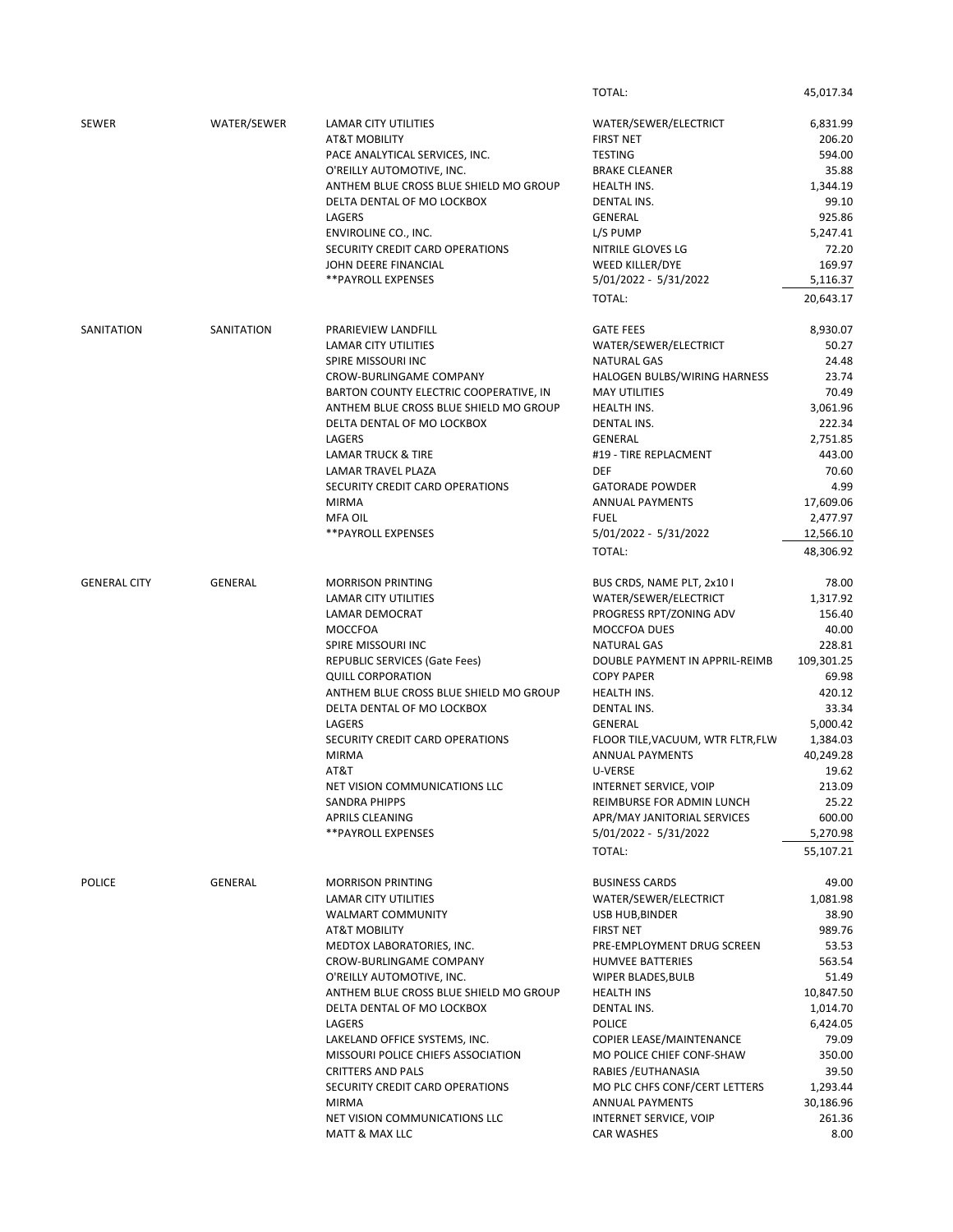|                     |                |                                        | TOTAL:                            | 45,017.34             |
|---------------------|----------------|----------------------------------------|-----------------------------------|-----------------------|
| <b>SEWER</b>        | WATER/SEWER    | <b>LAMAR CITY UTILITIES</b>            | WATER/SEWER/ELECTRICT             | 6,831.99              |
|                     |                | <b>AT&amp;T MOBILITY</b>               | <b>FIRST NET</b>                  | 206.20                |
|                     |                | PACE ANALYTICAL SERVICES, INC.         | <b>TESTING</b>                    | 594.00                |
|                     |                |                                        |                                   |                       |
|                     |                | O'REILLY AUTOMOTIVE, INC.              | <b>BRAKE CLEANER</b>              | 35.88                 |
|                     |                | ANTHEM BLUE CROSS BLUE SHIELD MO GROUP | HEALTH INS.                       | 1,344.19              |
|                     |                | DELTA DENTAL OF MO LOCKBOX             | <b>DENTAL INS.</b>                | 99.10                 |
|                     |                | <b>LAGERS</b>                          | <b>GENERAL</b>                    | 925.86                |
|                     |                | ENVIROLINE CO., INC.                   | L/S PUMP                          | 5,247.41              |
|                     |                | SECURITY CREDIT CARD OPERATIONS        | NITRILE GLOVES LG                 | 72.20                 |
|                     |                | JOHN DEERE FINANCIAL                   | WEED KILLER/DYE                   | 169.97                |
|                     |                |                                        |                                   |                       |
|                     |                | ** PAYROLL EXPENSES                    | 5/01/2022 - 5/31/2022<br>TOTAL:   | 5,116.37<br>20,643.17 |
|                     |                |                                        |                                   |                       |
| SANITATION          | SANITATION     | PRARIEVIEW LANDFILL                    | <b>GATE FEES</b>                  | 8,930.07              |
|                     |                | <b>LAMAR CITY UTILITIES</b>            | WATER/SEWER/ELECTRICT             | 50.27                 |
|                     |                | SPIRE MISSOURI INC                     | <b>NATURAL GAS</b>                | 24.48                 |
|                     |                | CROW-BURLINGAME COMPANY                | HALOGEN BULBS/WIRING HARNESS      | 23.74                 |
|                     |                | BARTON COUNTY ELECTRIC COOPERATIVE, IN | <b>MAY UTILITIES</b>              | 70.49                 |
|                     |                | ANTHEM BLUE CROSS BLUE SHIELD MO GROUP | HEALTH INS.                       | 3,061.96              |
|                     |                |                                        |                                   |                       |
|                     |                | DELTA DENTAL OF MO LOCKBOX             | <b>DENTAL INS.</b>                | 222.34                |
|                     |                | LAGERS                                 | <b>GENERAL</b>                    | 2,751.85              |
|                     |                | <b>LAMAR TRUCK &amp; TIRE</b>          | #19 - TIRE REPLACMENT             | 443.00                |
|                     |                | LAMAR TRAVEL PLAZA                     | <b>DEF</b>                        | 70.60                 |
|                     |                | SECURITY CREDIT CARD OPERATIONS        | <b>GATORADE POWDER</b>            | 4.99                  |
|                     |                | <b>MIRMA</b>                           | <b>ANNUAL PAYMENTS</b>            | 17,609.06             |
|                     |                | <b>MFA OIL</b>                         | <b>FUEL</b>                       | 2,477.97              |
|                     |                |                                        |                                   |                       |
|                     |                | <b>**PAYROLL EXPENSES</b>              | 5/01/2022 - 5/31/2022             | 12,566.10             |
|                     |                |                                        | TOTAL:                            | 48,306.92             |
| <b>GENERAL CITY</b> | <b>GENERAL</b> | <b>MORRISON PRINTING</b>               | BUS CRDS, NAME PLT, 2x10 I        | 78.00                 |
|                     |                | <b>LAMAR CITY UTILITIES</b>            | WATER/SEWER/ELECTRICT             | 1,317.92              |
|                     |                |                                        |                                   |                       |
|                     |                | LAMAR DEMOCRAT                         | PROGRESS RPT/ZONING ADV           | 156.40                |
|                     |                | <b>MOCCFOA</b>                         | MOCCFOA DUES                      | 40.00                 |
|                     |                | SPIRE MISSOURI INC                     | <b>NATURAL GAS</b>                | 228.81                |
|                     |                | <b>REPUBLIC SERVICES (Gate Fees)</b>   | DOUBLE PAYMENT IN APPRIL-REIMB    | 109,301.25            |
|                     |                | <b>QUILL CORPORATION</b>               | <b>COPY PAPER</b>                 | 69.98                 |
|                     |                | ANTHEM BLUE CROSS BLUE SHIELD MO GROUP | HEALTH INS.                       | 420.12                |
|                     |                | DELTA DENTAL OF MO LOCKBOX             | <b>DENTAL INS.</b>                | 33.34                 |
|                     |                |                                        |                                   |                       |
|                     |                | LAGERS                                 | <b>GENERAL</b>                    | 5,000.42              |
|                     |                | SECURITY CREDIT CARD OPERATIONS        | FLOOR TILE, VACUUM, WTR FLTR, FLW | 1,384.03              |
|                     |                | <b>MIRMA</b>                           | <b>ANNUAL PAYMENTS</b>            | 40,249.28             |
|                     |                | AT&T                                   | <b>U-VERSE</b>                    | 19.62                 |
|                     |                | NET VISION COMMUNICATIONS LLC          | INTERNET SERVICE, VOIP            | 213.09                |
|                     |                | <b>SANDRA PHIPPS</b>                   | REIMBURSE FOR ADMIN LUNCH         | 25.22                 |
|                     |                | <b>APRILS CLEANING</b>                 | APR/MAY JANITORIAL SERVICES       | 600.00                |
|                     |                |                                        |                                   |                       |
|                     |                | <b>**PAYROLL EXPENSES</b>              | 5/01/2022 - 5/31/2022<br>TOTAL:   | 5,270.98<br>55,107.21 |
|                     |                |                                        |                                   |                       |
| <b>POLICE</b>       | <b>GENERAL</b> | <b>MORRISON PRINTING</b>               | <b>BUSINESS CARDS</b>             | 49.00                 |
|                     |                | <b>LAMAR CITY UTILITIES</b>            | WATER/SEWER/ELECTRICT             | 1,081.98              |
|                     |                |                                        |                                   |                       |
|                     |                | <b>WALMART COMMUNITY</b>               | USB HUB, BINDER                   | 38.90                 |
|                     |                | <b>AT&amp;T MOBILITY</b>               | <b>FIRST NET</b>                  | 989.76                |
|                     |                | MEDTOX LABORATORIES, INC.              | PRE-EMPLOYMENT DRUG SCREEN        | 53.53                 |
|                     |                | <b>CROW-BURLINGAME COMPANY</b>         | <b>HUMVEE BATTERIES</b>           | 563.54                |
|                     |                | O'REILLY AUTOMOTIVE, INC.              | WIPER BLADES, BULB                | 51.49                 |
|                     |                | ANTHEM BLUE CROSS BLUE SHIELD MO GROUP | <b>HEALTH INS</b>                 | 10,847.50             |
|                     |                | DELTA DENTAL OF MO LOCKBOX             | <b>DENTAL INS.</b>                | 1,014.70              |
|                     |                |                                        |                                   |                       |
|                     |                | <b>LAGERS</b>                          | <b>POLICE</b>                     | 6,424.05              |
|                     |                | LAKELAND OFFICE SYSTEMS, INC.          | COPIER LEASE/MAINTENANCE          | 79.09                 |
|                     |                | MISSOURI POLICE CHIEFS ASSOCIATION     | MO POLICE CHIEF CONF-SHAW         | 350.00                |
|                     |                | <b>CRITTERS AND PALS</b>               | RABIES / EUTHANASIA               | 39.50                 |
|                     |                | SECURITY CREDIT CARD OPERATIONS        | MO PLC CHFS CONF/CERT LETTERS     | 1,293.44              |
|                     |                | <b>MIRMA</b>                           | ANNUAL PAYMENTS                   | 30,186.96             |
|                     |                | NET VISION COMMUNICATIONS LLC          |                                   |                       |
|                     |                |                                        | INTERNET SERVICE, VOIP            | 261.36                |
|                     |                | MATT & MAX LLC                         | <b>CAR WASHES</b>                 | 8.00                  |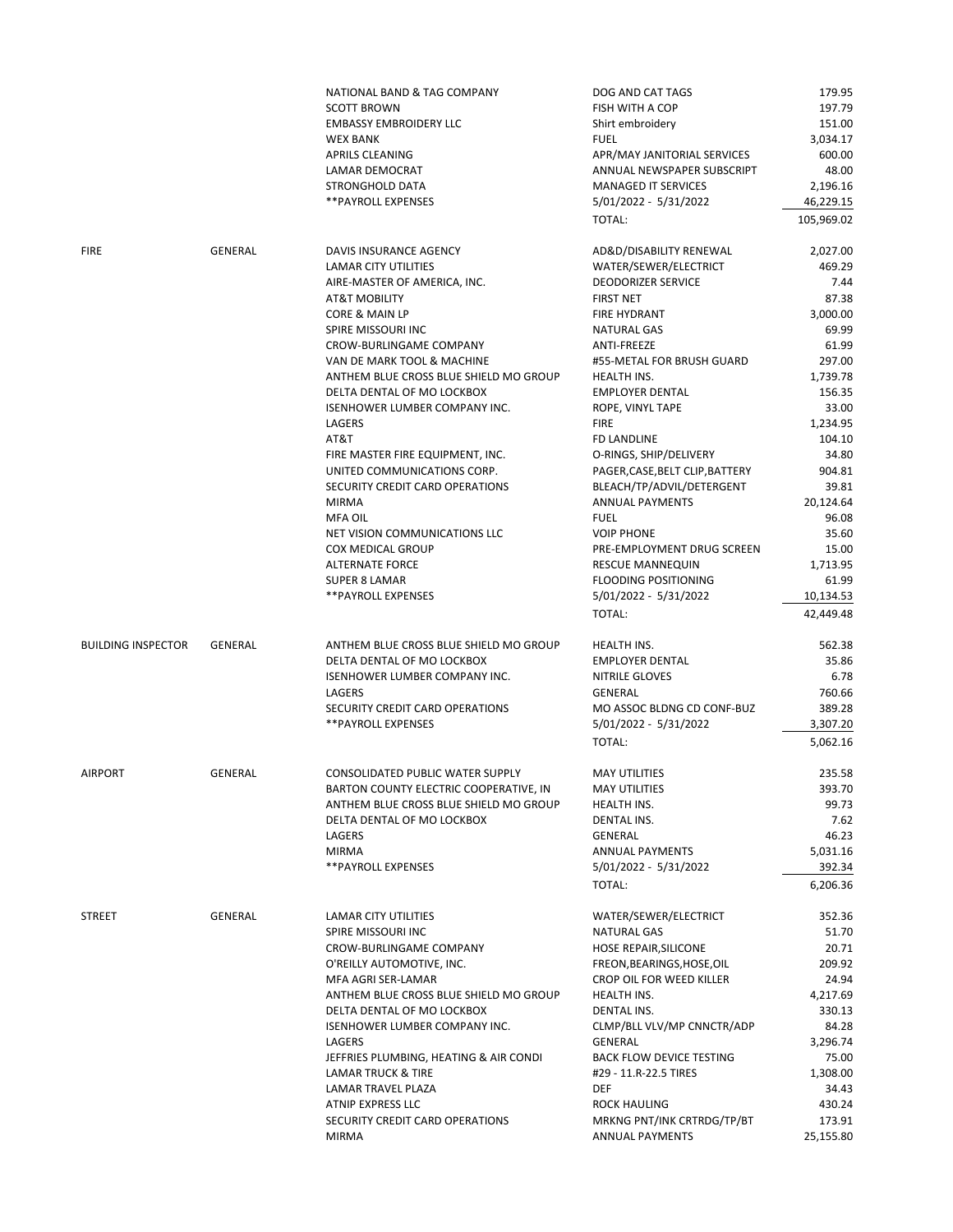|                           |                | NATIONAL BAND & TAG COMPANY            | DOG AND CAT TAGS                | 179.95             |
|---------------------------|----------------|----------------------------------------|---------------------------------|--------------------|
|                           |                | <b>SCOTT BROWN</b>                     | FISH WITH A COP                 | 197.79             |
|                           |                | <b>EMBASSY EMBROIDERY LLC</b>          | Shirt embroidery                | 151.00             |
|                           |                | <b>WEX BANK</b>                        | <b>FUEL</b>                     | 3,034.17           |
|                           |                | <b>APRILS CLEANING</b>                 | APR/MAY JANITORIAL SERVICES     | 600.00             |
|                           |                |                                        |                                 |                    |
|                           |                | LAMAR DEMOCRAT                         | ANNUAL NEWSPAPER SUBSCRIPT      | 48.00              |
|                           |                | STRONGHOLD DATA                        | <b>MANAGED IT SERVICES</b>      | 2,196.16           |
|                           |                | ** PAYROLL EXPENSES                    | 5/01/2022 - 5/31/2022           | 46,229.15          |
|                           |                |                                        | TOTAL:                          | 105,969.02         |
| <b>FIRE</b>               | <b>GENERAL</b> | DAVIS INSURANCE AGENCY                 | AD&D/DISABILITY RENEWAL         | 2,027.00           |
|                           |                | <b>LAMAR CITY UTILITIES</b>            | WATER/SEWER/ELECTRICT           | 469.29             |
|                           |                | AIRE-MASTER OF AMERICA, INC.           | <b>DEODORIZER SERVICE</b>       | 7.44               |
|                           |                | <b>AT&amp;T MOBILITY</b>               | <b>FIRST NET</b>                | 87.38              |
|                           |                |                                        |                                 |                    |
|                           |                | CORE & MAIN LP                         | FIRE HYDRANT                    | 3,000.00           |
|                           |                | SPIRE MISSOURI INC                     | <b>NATURAL GAS</b>              | 69.99              |
|                           |                | CROW-BURLINGAME COMPANY                | ANTI-FREEZE                     | 61.99              |
|                           |                | VAN DE MARK TOOL & MACHINE             | #55-METAL FOR BRUSH GUARD       | 297.00             |
|                           |                | ANTHEM BLUE CROSS BLUE SHIELD MO GROUP | <b>HEALTH INS.</b>              | 1,739.78           |
|                           |                | DELTA DENTAL OF MO LOCKBOX             | <b>EMPLOYER DENTAL</b>          | 156.35             |
|                           |                | ISENHOWER LUMBER COMPANY INC.          | ROPE, VINYL TAPE                | 33.00              |
|                           |                | LAGERS                                 | <b>FIRE</b>                     | 1,234.95           |
|                           |                | AT&T                                   |                                 |                    |
|                           |                |                                        | FD LANDLINE                     | 104.10             |
|                           |                | FIRE MASTER FIRE EQUIPMENT, INC.       | O-RINGS, SHIP/DELIVERY          | 34.80              |
|                           |                | UNITED COMMUNICATIONS CORP.            | PAGER, CASE, BELT CLIP, BATTERY | 904.81             |
|                           |                | SECURITY CREDIT CARD OPERATIONS        | BLEACH/TP/ADVIL/DETERGENT       | 39.81              |
|                           |                | <b>MIRMA</b>                           | <b>ANNUAL PAYMENTS</b>          | 20,124.64          |
|                           |                | MFA OIL                                | <b>FUEL</b>                     | 96.08              |
|                           |                | NET VISION COMMUNICATIONS LLC          | <b>VOIP PHONE</b>               | 35.60              |
|                           |                | <b>COX MEDICAL GROUP</b>               | PRE-EMPLOYMENT DRUG SCREEN      | 15.00              |
|                           |                | <b>ALTERNATE FORCE</b>                 | <b>RESCUE MANNEQUIN</b>         | 1,713.95           |
|                           |                |                                        |                                 |                    |
|                           |                | SUPER 8 LAMAR                          | FLOODING POSITIONING            | 61.99              |
|                           |                | ** PAYROLL EXPENSES                    | 5/01/2022 - 5/31/2022           | 10,134.53          |
|                           |                |                                        | TOTAL:                          | 42,449.48          |
| <b>BUILDING INSPECTOR</b> | <b>GENERAL</b> | ANTHEM BLUE CROSS BLUE SHIELD MO GROUP | <b>HEALTH INS.</b>              | 562.38             |
|                           |                | DELTA DENTAL OF MO LOCKBOX             | <b>EMPLOYER DENTAL</b>          | 35.86              |
|                           |                | ISENHOWER LUMBER COMPANY INC.          | NITRILE GLOVES                  | 6.78               |
|                           |                | LAGERS                                 | <b>GENERAL</b>                  | 760.66             |
|                           |                | SECURITY CREDIT CARD OPERATIONS        | MO ASSOC BLDNG CD CONF-BUZ      | 389.28             |
|                           |                |                                        |                                 |                    |
|                           |                | **PAYROLL EXPENSES                     | 5/01/2022 - 5/31/2022           | 3,307.20           |
|                           |                |                                        | TOTAL:                          | 5,062.16           |
| <b>AIRPORT</b>            | <b>GENERAL</b> | CONSOLIDATED PUBLIC WATER SUPPLY       | <b>MAY UTILITIES</b>            | 235.58             |
|                           |                | BARTON COUNTY ELECTRIC COOPERATIVE, IN | <b>MAY UTILITIES</b>            | 393.70             |
|                           |                | ANTHEM BLUE CROSS BLUE SHIELD MO GROUP | HEALTH INS.                     | 99.73              |
|                           |                | DELTA DENTAL OF MO LOCKBOX             | DENTAL INS.                     | 7.62               |
|                           |                | LAGERS                                 | GENERAL                         | 46.23              |
|                           |                | <b>MIRMA</b>                           | <b>ANNUAL PAYMENTS</b>          | 5,031.16           |
|                           |                |                                        |                                 |                    |
|                           |                | **PAYROLL EXPENSES                     | 5/01/2022 - 5/31/2022<br>TOTAL: | 392.34<br>6,206.36 |
|                           |                |                                        |                                 |                    |
| <b>STREET</b>             | <b>GENERAL</b> | <b>LAMAR CITY UTILITIES</b>            | WATER/SEWER/ELECTRICT           | 352.36             |
|                           |                | SPIRE MISSOURI INC                     | <b>NATURAL GAS</b>              | 51.70              |
|                           |                | CROW-BURLINGAME COMPANY                | HOSE REPAIR, SILICONE           | 20.71              |
|                           |                | O'REILLY AUTOMOTIVE, INC.              | FREON, BEARINGS, HOSE, OIL      | 209.92             |
|                           |                | MFA AGRI SER-LAMAR                     | CROP OIL FOR WEED KILLER        | 24.94              |
|                           |                | ANTHEM BLUE CROSS BLUE SHIELD MO GROUP | HEALTH INS.                     | 4,217.69           |
|                           |                | DELTA DENTAL OF MO LOCKBOX             | <b>DENTAL INS.</b>              | 330.13             |
|                           |                | ISENHOWER LUMBER COMPANY INC.          | CLMP/BLL VLV/MP CNNCTR/ADP      | 84.28              |
|                           |                |                                        |                                 |                    |
|                           |                | LAGERS                                 | <b>GENERAL</b>                  | 3,296.74           |
|                           |                | JEFFRIES PLUMBING, HEATING & AIR CONDI | <b>BACK FLOW DEVICE TESTING</b> | 75.00              |
|                           |                | <b>LAMAR TRUCK &amp; TIRE</b>          | #29 - 11.R-22.5 TIRES           | 1,308.00           |
|                           |                | LAMAR TRAVEL PLAZA                     | <b>DEF</b>                      | 34.43              |
|                           |                | ATNIP EXPRESS LLC                      | <b>ROCK HAULING</b>             | 430.24             |
|                           |                | SECURITY CREDIT CARD OPERATIONS        | MRKNG PNT/INK CRTRDG/TP/BT      | 173.91             |
|                           |                | <b>MIRMA</b>                           | <b>ANNUAL PAYMENTS</b>          | 25,155.80          |
|                           |                |                                        |                                 |                    |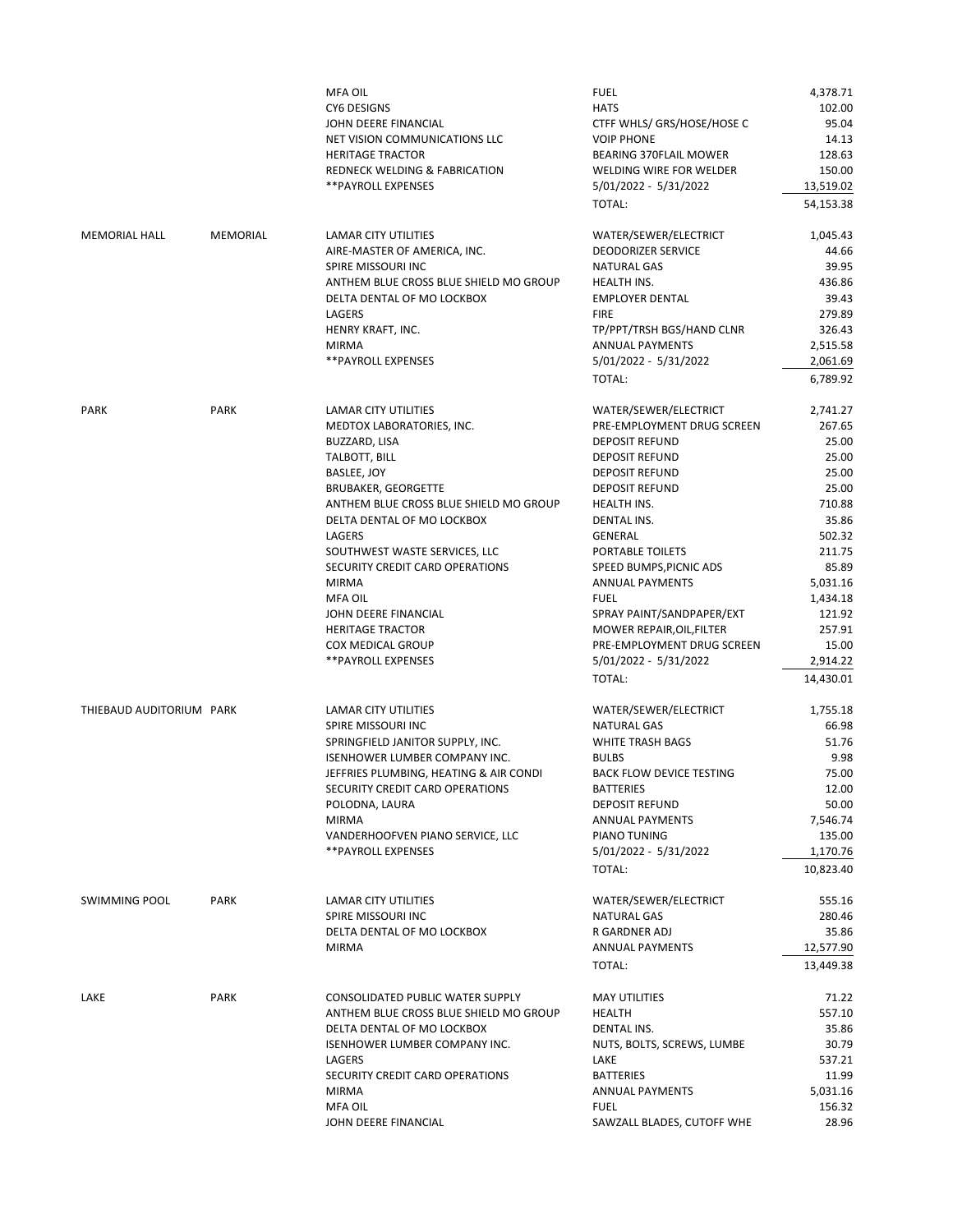|                                                  |             | <b>MFA OIL</b><br><b>CY6 DESIGNS</b><br>JOHN DEERE FINANCIAL<br>NET VISION COMMUNICATIONS LLC<br><b>HERITAGE TRACTOR</b><br>REDNECK WELDING & FABRICATION<br>**PAYROLL EXPENSES                                                                                                                                                                                                                                                       | <b>FUEL</b><br><b>HATS</b><br>CTFF WHLS/ GRS/HOSE/HOSE C<br><b>VOIP PHONE</b><br><b>BEARING 370FLAIL MOWER</b><br>WELDING WIRE FOR WELDER<br>5/01/2022 - 5/31/2022<br>TOTAL:                                                                                                                                                                                                                                               | 4,378.71<br>102.00<br>95.04<br>14.13<br>128.63<br>150.00<br>13,519.02<br>54,153.38                                                                                                   |
|--------------------------------------------------|-------------|---------------------------------------------------------------------------------------------------------------------------------------------------------------------------------------------------------------------------------------------------------------------------------------------------------------------------------------------------------------------------------------------------------------------------------------|----------------------------------------------------------------------------------------------------------------------------------------------------------------------------------------------------------------------------------------------------------------------------------------------------------------------------------------------------------------------------------------------------------------------------|--------------------------------------------------------------------------------------------------------------------------------------------------------------------------------------|
| <b>MEMORIAL HALL</b>                             | MEMORIAL    | LAMAR CITY UTILITIES<br>AIRE-MASTER OF AMERICA, INC.<br>SPIRE MISSOURI INC<br>ANTHEM BLUE CROSS BLUE SHIELD MO GROUP<br>DELTA DENTAL OF MO LOCKBOX<br>LAGERS<br>HENRY KRAFT, INC.<br><b>MIRMA</b><br><b>**PAYROLL EXPENSES</b>                                                                                                                                                                                                        | WATER/SEWER/ELECTRICT<br><b>DEODORIZER SERVICE</b><br><b>NATURAL GAS</b><br><b>HEALTH INS.</b><br><b>EMPLOYER DENTAL</b><br><b>FIRE</b><br>TP/PPT/TRSH BGS/HAND CLNR<br><b>ANNUAL PAYMENTS</b><br>5/01/2022 - 5/31/2022<br>TOTAL:                                                                                                                                                                                          | 1,045.43<br>44.66<br>39.95<br>436.86<br>39.43<br>279.89<br>326.43<br>2,515.58<br>2,061.69<br>6,789.92                                                                                |
| <b>PARK</b>                                      | <b>PARK</b> | <b>LAMAR CITY UTILITIES</b><br>MEDTOX LABORATORIES, INC.<br>BUZZARD, LISA<br>TALBOTT, BILL<br>BASLEE, JOY<br><b>BRUBAKER, GEORGETTE</b><br>ANTHEM BLUE CROSS BLUE SHIELD MO GROUP<br>DELTA DENTAL OF MO LOCKBOX<br>LAGERS<br>SOUTHWEST WASTE SERVICES, LLC<br>SECURITY CREDIT CARD OPERATIONS<br><b>MIRMA</b><br><b>MFA OIL</b><br>JOHN DEERE FINANCIAL<br><b>HERITAGE TRACTOR</b><br><b>COX MEDICAL GROUP</b><br>** PAYROLL EXPENSES | WATER/SEWER/ELECTRICT<br>PRE-EMPLOYMENT DRUG SCREEN<br><b>DEPOSIT REFUND</b><br><b>DEPOSIT REFUND</b><br><b>DEPOSIT REFUND</b><br><b>DEPOSIT REFUND</b><br>HEALTH INS.<br>DENTAL INS.<br><b>GENERAL</b><br>PORTABLE TOILETS<br>SPEED BUMPS, PICNIC ADS<br><b>ANNUAL PAYMENTS</b><br><b>FUEL</b><br>SPRAY PAINT/SANDPAPER/EXT<br>MOWER REPAIR, OIL, FILTER<br>PRE-EMPLOYMENT DRUG SCREEN<br>5/01/2022 - 5/31/2022<br>TOTAL: | 2,741.27<br>267.65<br>25.00<br>25.00<br>25.00<br>25.00<br>710.88<br>35.86<br>502.32<br>211.75<br>85.89<br>5,031.16<br>1,434.18<br>121.92<br>257.91<br>15.00<br>2,914.22<br>14,430.01 |
| THIEBAUD AUDITORIUM PARK<br><b>SWIMMING POOL</b> | <b>PARK</b> | <b>LAMAR CITY UTILITIES</b><br>SPIRE MISSOURI INC<br>SPRINGFIELD JANITOR SUPPLY, INC.<br>ISENHOWER LUMBER COMPANY INC.<br>JEFFRIES PLUMBING, HEATING & AIR CONDI<br>SECURITY CREDIT CARD OPERATIONS<br>POLODNA, LAURA<br><b>MIRMA</b><br>VANDERHOOFVEN PIANO SERVICE, LLC<br><b>**PAYROLL EXPENSES</b><br><b>LAMAR CITY UTILITIES</b>                                                                                                 | WATER/SEWER/ELECTRICT<br><b>NATURAL GAS</b><br><b>WHITE TRASH BAGS</b><br><b>BULBS</b><br><b>BACK FLOW DEVICE TESTING</b><br><b>BATTERIES</b><br><b>DEPOSIT REFUND</b><br><b>ANNUAL PAYMENTS</b><br>PIANO TUNING<br>5/01/2022 - 5/31/2022<br>TOTAL:<br>WATER/SEWER/ELECTRICT                                                                                                                                               | 1,755.18<br>66.98<br>51.76<br>9.98<br>75.00<br>12.00<br>50.00<br>7,546.74<br>135.00<br>1,170.76<br>10,823.40<br>555.16                                                               |
|                                                  |             | SPIRE MISSOURI INC<br>DELTA DENTAL OF MO LOCKBOX<br><b>MIRMA</b>                                                                                                                                                                                                                                                                                                                                                                      | <b>NATURAL GAS</b><br>R GARDNER ADJ<br><b>ANNUAL PAYMENTS</b><br>TOTAL:                                                                                                                                                                                                                                                                                                                                                    | 280.46<br>35.86<br>12,577.90<br>13,449.38                                                                                                                                            |
| LAKE                                             | <b>PARK</b> | CONSOLIDATED PUBLIC WATER SUPPLY<br>ANTHEM BLUE CROSS BLUE SHIELD MO GROUP<br>DELTA DENTAL OF MO LOCKBOX<br>ISENHOWER LUMBER COMPANY INC.<br><b>LAGERS</b><br>SECURITY CREDIT CARD OPERATIONS<br><b>MIRMA</b><br><b>MFA OIL</b><br>JOHN DEERE FINANCIAL                                                                                                                                                                               | <b>MAY UTILITIES</b><br><b>HEALTH</b><br><b>DENTAL INS.</b><br>NUTS, BOLTS, SCREWS, LUMBE<br>LAKE<br><b>BATTERIES</b><br><b>ANNUAL PAYMENTS</b><br><b>FUEL</b><br>SAWZALL BLADES, CUTOFF WHE                                                                                                                                                                                                                               | 71.22<br>557.10<br>35.86<br>30.79<br>537.21<br>11.99<br>5,031.16<br>156.32<br>28.96                                                                                                  |